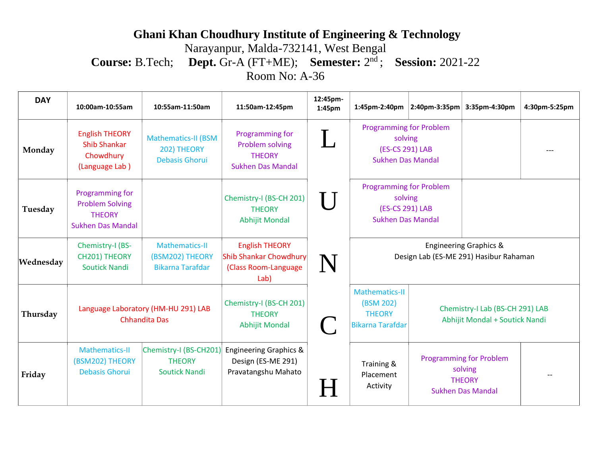## **Ghani Khan Choudhury Institute of Engineering & Technology**

Narayanpur, Malda-732141, West Bengal

**Course:** B.Tech; **Dept.** Gr-A (FT+ME); **Semester:** 2 nd ; **Session:** 2021-22

Room No: A-36

| <b>DAY</b> | 10:00am-10:55am                                                                        | 10:55am-11:50am                                                    | 11:50am-12:45pm                                                                        | 12:45pm-<br>1:45pm | 1:45pm-2:40pm                                                                                                                                       | 2:40pm-3:35pm<br>3:35pm-4:30pm                                                           | 4:30pm-5:25pm |  |
|------------|----------------------------------------------------------------------------------------|--------------------------------------------------------------------|----------------------------------------------------------------------------------------|--------------------|-----------------------------------------------------------------------------------------------------------------------------------------------------|------------------------------------------------------------------------------------------|---------------|--|
| Monday     | <b>English THEORY</b><br><b>Shib Shankar</b><br>Chowdhury<br>(Language Lab)            | <b>Mathematics-II (BSM</b><br>202) THEORY<br><b>Debasis Ghorui</b> | Programming for<br>Problem solving<br><b>THEORY</b><br><b>Sukhen Das Mandal</b>        |                    | <b>Programming for Problem</b><br>solving<br>(ES-CS 291) LAB<br><b>Sukhen Das Mandal</b>                                                            |                                                                                          |               |  |
| Tuesday    | Programming for<br><b>Problem Solving</b><br><b>THEORY</b><br><b>Sukhen Das Mandal</b> |                                                                    | Chemistry-I (BS-CH 201)<br><b>THEORY</b><br><b>Abhijit Mondal</b>                      |                    |                                                                                                                                                     | <b>Programming for Problem</b><br>solving<br>(ES-CS 291) LAB<br><b>Sukhen Das Mandal</b> |               |  |
| Wednesday  | Chemistry-I (BS-<br>CH201) THEORY<br><b>Soutick Nandi</b>                              | Mathematics-II<br>(BSM202) THEORY<br><b>Bikarna Tarafdar</b>       | <b>English THEORY</b><br><b>Shib Shankar Chowdhury</b><br>(Class Room-Language<br>Lab) | N                  | <b>Engineering Graphics &amp;</b><br>Design Lab (ES-ME 291) Hasibur Rahaman                                                                         |                                                                                          |               |  |
| Thursday   |                                                                                        | Language Laboratory (HM-HU 291) LAB<br><b>Chhandita Das</b>        | Chemistry-I (BS-CH 201)<br><b>THEORY</b><br><b>Abhijit Mondal</b>                      |                    | <b>Mathematics-II</b><br>(BSM 202)<br>Chemistry-I Lab (BS-CH 291) LAB<br><b>THEORY</b><br>Abhijit Mondal + Soutick Nandi<br><b>Bikarna Tarafdar</b> |                                                                                          |               |  |
| Friday     | Mathematics-II<br>(BSM202) THEORY<br><b>Debasis Ghorui</b>                             | Chemistry-I (BS-CH201)<br><b>THEORY</b><br><b>Soutick Nandi</b>    | <b>Engineering Graphics &amp;</b><br>Design (ES-ME 291)<br>Pravatangshu Mahato         |                    | Training &<br>Placement<br>Activity                                                                                                                 | <b>Programming for Problem</b><br>solving<br><b>THEORY</b><br><b>Sukhen Das Mandal</b>   |               |  |